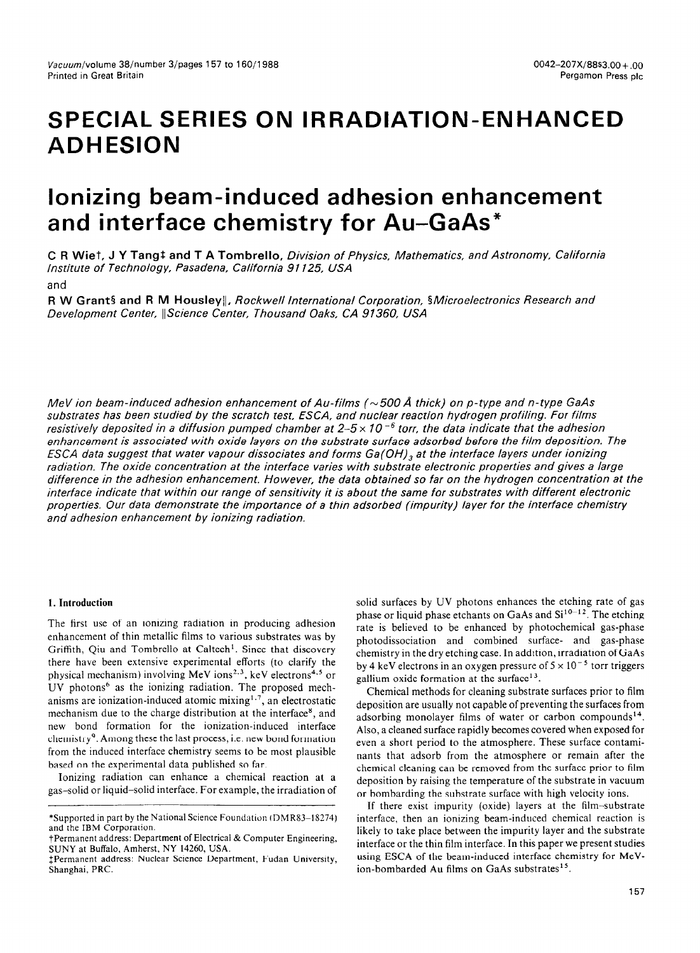# **SPECIAL SERIES ON IRRADIATION-ENHANCED ADHESION**

## **Ionizing beam-induced adhesion enhancement and interface chemistry for Au-GaAs"**

**C R Wiet, J Y Tangt and T A Tombrello, Division of Physics, Mathematics, and Astronomy, California** *Institute of Technology, Pasadena, California 91125, USA* 

and

**R W Grant§ and R M Housley**||, *Rockwell International Corporation*, §Microelectronics Research and *Development Center, IIScience Center, Thousand Oaks, CA 91360, USA* 

*MeV ion beam-induced adhesion enhancement of Au-films (~500 Å thick) on p-type and n-type GaAs substrates has been studied by the scratch test, ESCA, and nuclear reaction hydrogen profiling. For films resistively deposited in a diffusion pumped chamber at 2-5 x 10 -6 torr, the data indicate that the adhesion enhancement is associated with oxide layers on the substrate surface adsorbed before the film deposition. The ESCA data suggest that water vapour dissociates and forms Ga(OH), at the interface layers under ionizing radiation. The oxide concentration at the interface varies with substrate electronic properties and gives a large difference in the adhesion enhancement. However, the data obtained so far on the hydrogen concentration at the interface indicate that within our range of sensitivity it is about the same for substrates with different electronic properties. Our data demonstrate the importance of a thin adsorbed (impurity) layer for the interface chemistry and adhesion enhancement by ionizing radiation.* 

#### **1. Introduction**

The first use of an ionizing radiation in producing adhesion enhancement of thin metallic films to various substrates was by Griffith, Qiu and Tombrello at Caltech'. Since that discovery there have been extensive experimental efforts (to clarify the physical mechanism) involving MeV ions<sup>2.3</sup>, keV electrons<sup>4.5</sup> or UV photons' as the ionizing radiation. The proposed mechanisms are ionization-induced atomic mixing<sup>1.7</sup>, an electrostatic mechanism due to the charge distribution at the interface\*, and new bond formation for the ionization-induced interface chemistry'. Among these the last process, i.e. new bond formation from the induced interface chemistry seems to be most plausible based on the experimental data published so far.

Ionizing radiation can enhance a chemical reaction at a gas-solid or liquid-solid interface. For example, the irradiation of solid surfaces by UV photons enhances the etching rate of gas phase or liquid phase etchants on GaAs and  $Si<sup>10-12</sup>$ . The etching rate is believed to be enhanced by photochemical gas-phase photodissociation and combined surface- and gas-phase chemistry in the dry etching case. In addition, irradiation of GaAs by 4 keV electrons in an oxygen pressure of  $5 \times 10^{-5}$  torr triggers gallium oxide formation at the surface $13$ .

Chemical methods for cleaning substrate surfaces prior to film deposition are usually not capable of preventing the surfaces from adsorbing monolayer films of water or carbon compounds'4. Also, a cleaned surface rapidly becomes covered when exposed for even a short period to the atmosphere. These surface contaminants that adsorb from the atmosphere or remain after the chemical cleaning can be removed from the surface prior to film deposition by raising the temperature of the substrate in vacuum or bombarding the substrate surface with high velocity ions.

If there exist impurity (oxide) layers at the film-substrate interface, then an ionizing beam-induced chemical reaction is likely to take place between the impurity layer and the substrate interface or the thin film interface. In this paper we present studies using ESCA of the beam-induced interface chemistry for MeVion-bombarded Au films on GaAs substrates<sup>15</sup>.

<sup>\*</sup>Supported in part by the National Science Foundation lDMR83-18274) and the IBM Corporation.

tPermanent address: Department of Electrical & Computer Engineering, SUNY at Buffalo, Amherst, NY 14260, USA.

<sup>\$</sup>Permanent address: Nuclear Science Department, Fudan University, Shanghai, PRC.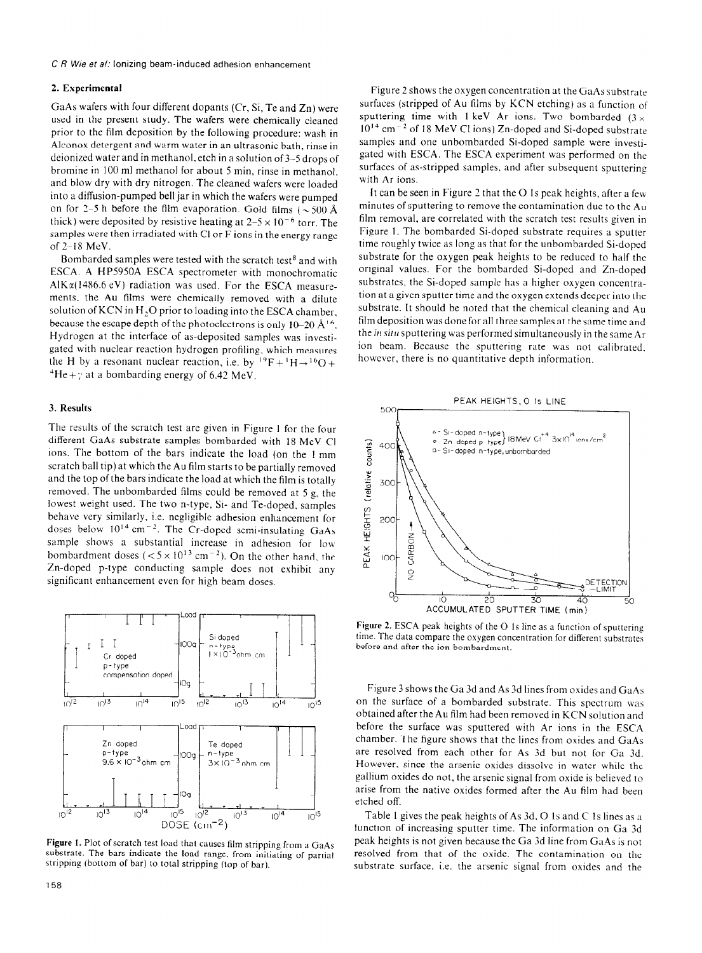### **2. Experimental**

**GaAs** wafers with four different dopants (Cr, Si, Te and Zn) were used in the present study. The wafers were chemically cleaned prior to the film deposition by the following procedure: wash in Alconox detergent and warm water in an ultrasonic bath, rinse in deionized water and in methanol. etch in a solution of3-5 drops of bromine in 100 ml methanol for about 5 min, rinse in methanol. and blow dry with dry nitrogen. The cleaned wafers were loaded into a diffusion-pumped bell jar in which the wafers were pumped on for 2-5 h before the film evaporation. Gold films ( $\sim$  500 Å thick) were deposited by resistive heating at  $2-5 \times 10^{-6}$  torr. The samples were then irradiated with Cl or F ions in the energy range of 2-18 MeV.

Bombarded samples were tested with the scratch test<sup>8</sup> and with ESCA. A HP5950A ESCA spectrometer with monochromatic Al $K\alpha$ (1486.6 eV) radiation was used. For the ESCA measurements. the Au films were chemically removed with a dilute solution of KCN in H<sub>2</sub>O prior to loading into the ESCA chamber. because the escape depth of the photoelectrons is only 10-20  $\AA$ <sup>16</sup>. Hydrogen at the interface of as-deposited samples was investigated with nuclear reaction hydrogen profiling, which measures the H by a resonant nuclear reaction, i.e. by  $^{19}F + ^1H \rightarrow ^{16}O +$  $H = +\gamma$  at a bombarding energy of 6.42 MeV.

#### 3. **Results**

The results of the scratch test are given in Figure 1 for the four different GaAs substrate samples bombarded with 18 MeV Cl ions. The bottom of the bars indicate the load (on the 1 mm scratch ball tip) at which the Au film starts to be partially removed and the top of the bars indicate the load at which the film is totally removed. The unbombarded films could be removed at 5 g, the lowest weight used. The two n-type, Si- and Te-doped. samples behave very similarly, i.e. negligible adhesion enhancement for doses below  $10^{14}$  cm<sup>-2</sup>. The Cr-doped semi-insulating GaAs sample shows a substantial increase in adhesion for low bombardment doses ( $< 5 \times 10^{13}$  cm<sup>-2</sup>). On the other hand, the Zn-doped p-type conducting sample does not exhibit any significant enhancement even for high beam doses.



**Figure 1.** Plot of scratch test load that causes film stripping from a GaAs substrate. The bars indicate the load range, from initiating of partial stripping (bottom of bar) to total stripping (top of bar).

Figure 2 shows the oxygen concentration at the GaAs substrate surfaces (stripped of Au films by KCN etching) as a function of sputtering time with 1 keV Ar ions. Two bombarded  $(3 \times$  $10^{14}$  cm<sup> $-2$ </sup> of 18 MeV Cl ions) Zn-doped and Si-doped substrate samples and one unbombarded Si-doped sample were investigated with ESCA. The ESCA experiment was performed on the surfaces of as-stripped samples, and after subsequent sputtering with Ar ions.

It can be seen in Figure 2 that the O 1s peak heights, after a few minutes of sputtering to remove the contamination due to the Au film removal, are correlated with the scratch test results given in Figure 1. The bombarded Si-doped substrate requires a sputter time roughly twice as long as that for the unbombarded Si-doped substrate for the oxygen peak heights to be reduced to half the original values. For the bombarded Si-doped and Zn-doped substrates, the Si-doped sample has a higher oxygen concentration at a given sputter time and the oxygen extends deeper into the substrate. It should be noted that the chemical cleaning and Au film deposition was done for all three samples at the same time and the in situ sputtering was performed simultaneously in the same  $Ar$ ion beam. Because the sputtering rate was not calibrated. however, there is no quantitative depth information.



Figure 2. ESCA peak heights of the O 1s line as a function of sputtering time. The data compare the oxygen concentration for different substrates before and after the ion bombardment.

Figure 3 shows the Ga 3d and As 3d lines from oxides and GaAs on the surface of a bombarded substrate. This spectrum was obtained after the Au film had been removed in KCN solution and before the surface was sputtered with Ar ions in the ESCA chamber. The figure shows that the lines from oxides and GaAs are resolved from each other for As 3d but not for Ga 3d. However. since the arsenic oxides dissolve in water while the gallium oxides do not, the arsenic signal from oxide is believed to arise from the native oxides formed after the Au film had been etched off.

Table 1 gives the peak heights of As 3d, 0 Is and C IS lines as a function of increasing sputter time. The information on Ga 3d peak heights is not given because the Ga 3d line from GaAs is not resolved from that of the oxide. The contamination on the substrate surface. i.e. the arsenic signal from oxides and the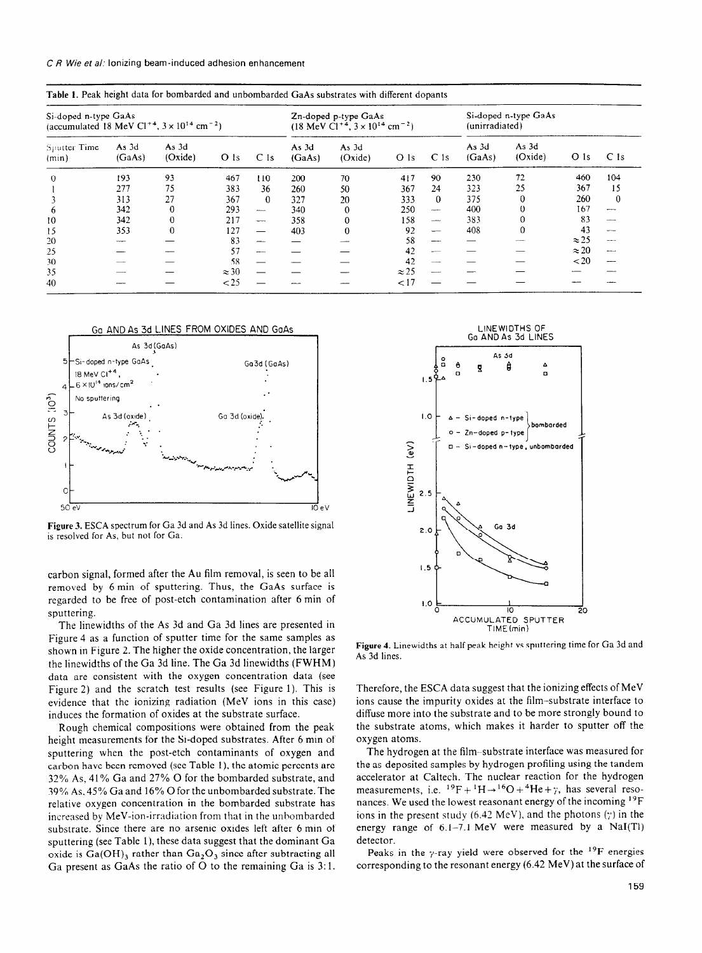**CR Wie et a/: Ionizing beam-induced adhesion enhancement** 

| Si-doped n-type GaAs<br>(accumulated 18 MeV Cl <sup>+4</sup> , $3 \times 10^{14}$ cm <sup>-2</sup> ) |                        |                  |                 |                 | Zn-doped p-type GaAs<br>$(18 \text{ MeV Cl}^{+4}, 3 \times 10^{14} \text{ cm}^{-2})$ |                  |              |                   | Si-doped n-type GaAs<br>(unirradiated) |                  |                 |                 |
|------------------------------------------------------------------------------------------------------|------------------------|------------------|-----------------|-----------------|--------------------------------------------------------------------------------------|------------------|--------------|-------------------|----------------------------------------|------------------|-----------------|-----------------|
| Sputter Time<br>(min)                                                                                | As 3d<br>(GaAs)        | As 3d<br>(Oxide) | O <sub>1s</sub> | C <sub>1s</sub> | As 3d<br>(GaAs)                                                                      | As 3d<br>(Oxide) | O Is         | C <sub>1s</sub>   | As 3d<br>(GaAs)                        | As 3d<br>(Oxide) | O <sub>1s</sub> | C <sub>1s</sub> |
| $\Omega$                                                                                             | 193                    | 93               | 467             | 110             | 200                                                                                  | 70               | 417          | 90                | 230                                    | 72               | 460             | 104             |
|                                                                                                      | 277                    | 75               | 383             | 36              | 260                                                                                  | 50               | 367          | 24                | 323                                    | 25               | 367             | 15              |
|                                                                                                      | 313                    | 27               | 367             | $\Omega$        | 327                                                                                  | 20               | 333          | $\theta$          | 375                                    | $\Omega$         | 260             | $\theta$        |
| h.                                                                                                   | 342                    | 0                | 293             | <b>ANALLON</b>  | 340                                                                                  | $\Omega$         | 250          | $\frac{1}{2}$     | 400                                    |                  | 167             | $\sim$          |
| 10                                                                                                   | 342                    |                  | 217             | <b>Service</b>  | 358                                                                                  | $\Omega$         | 158          | $-$               | 383                                    |                  | 83              | $-$             |
| 15                                                                                                   | 353                    |                  | 127             |                 | 403                                                                                  | $\Omega$         | 92           |                   | 408                                    |                  | 43              | <b>Services</b> |
| 20                                                                                                   | <b>Service Address</b> |                  | 83              |                 |                                                                                      |                  | 58           | ---               |                                        |                  | $\approx$ 25    | ---             |
| 25                                                                                                   |                        |                  | 57              | <b>Address</b>  |                                                                                      |                  | 42           | $-$               |                                        |                  | $\approx$ 20    | -----           |
| 30                                                                                                   |                        |                  | 58              |                 |                                                                                      |                  | 42           | <b>STATISTICS</b> |                                        |                  | $20$            |                 |
| 35                                                                                                   |                        |                  | $\approx$ 30    |                 |                                                                                      |                  | $\approx$ 25 |                   |                                        |                  |                 |                 |
| 40                                                                                                   |                        |                  | < 25            |                 |                                                                                      |                  | 17           |                   |                                        |                  |                 |                 |

**Table 1.** Peak height data for bombarded and unbombarded GaAs substrates with different **dopdnts** 



**Figure 3.** ESCA spectrum for Ga 3d and As 3d lines. Oxide satellite signal **is resolved** for As, but not for Ga.

carbon signal, formed after the Au film removal, is seen to be all removed **by 6** min of sputtering. Thus, the GaAs surface is regarded to be free of post-etch contamination after **6** min of sputtering.

The linewidths of the As 3d and Ga 3d lines are presented in Figure 4 as a function of sputter time for the same samples as shown in Figure 2. The higher the oxide concentration, the larger the linewidths of the Ga 3d line. The Ga 3d linewidths (FWHM) data are consistent with the oxygen concentration data (see Figure 2) and the scratch test results (see Figure 1). This is evidence that the ionizing radiation (MeV ions in this case) induces the formation of oxides at the substrate surface.

Rough chemical compositions were obtained from the peak height measurements for the Si-doped substrates. After 6 min of sputtering when the post-etch contaminants of oxygen and carbon have been removed (see Table l), the atomic percents are 32% As, 41% Ga and 27% 0 for the bombarded substrate, and 39% As, 45% Ga and 16% 0 for the unbombarded substrate. The relative oxygen concentration in the bombarded substrate has increased by MeV-ion-irradiation from that in the unhombarded substrate. Since there are no arsenic oxides left after 6 min of sputtering (see Table l), **these** data suggest that the dominant Ga oxide is  $Ga(OH)$ <sub>3</sub> rather than  $Ga_2O_3$  since after subtracting all Ga present as GaAs the ratio of O to the remaining Ga is 3:1.



**Figure 4.** Linewidths at half peak height vs sputtering time for Ga 3d and As 3d lines.

Therefore, the ESCA **data suggest that the ionizing** effects of MeV ions cause the impurity oxides at the film-substrate interface to diffuse more into the substrate and to be more strongly bound to the substrate atoms, which makes it harder to sputter off the oxygen atoms.

The hydrogen at the film-substrate interface was measured for the as-deposited samples by hydrogen profiling using the tandem accelerator at Caltech. The nuclear reaction for the hydrogen measurements, i.e.  $^{19}F + ^1H \rightarrow ^{16}O + ^4He + \gamma$ , has several resonances. We used the lowest reasonant energy of the incoming <sup>19</sup>F ions in the present study (6.42 MeV), and the photons  $(\gamma)$  in the energy range of 6.1-7.1 MeV were measured by a NaI(T1) detector.

Peaks in the y-ray yield were observed for the <sup>19</sup>F energies corresponding to the resonant energy (6.42 MeV) at the surface of